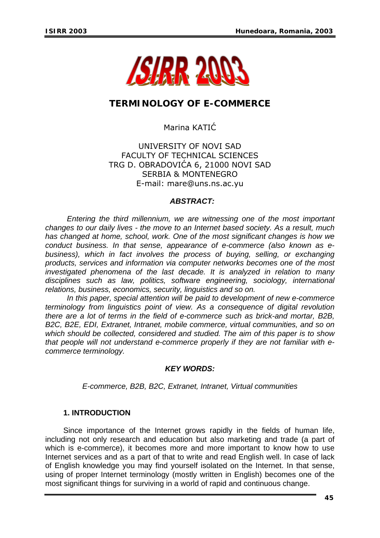

# **TERMINOLOGY OF E-COMMERCE**

## Marina KATIĆ

### UNIVERSITY OF NOVI SAD FACULTY OF TECHNICAL SCIENCES TRG D. OBRADOVIĆA 6, 21000 NOVI SAD SERBIA & MONTENEGRO E-mail: mare@uns.ns.ac.yu

#### *ABSTRACT:*

*Entering the third millennium, we are witnessing one of the most important changes to our daily lives - the move to an Internet based society. As a result, much has changed at home, school, work. One of the most significant changes is how we conduct business. In that sense, appearance of e-commerce (also known as ebusiness), which in fact involves the process of buying, selling, or exchanging products, services and information via computer networks becomes one of the most investigated phenomena of the last decade. It is analyzed in relation to many disciplines such as law, politics, software engineering, sociology, international relations, business, economics, security, linguistics and so on.* 

*In this paper, special attention will be paid to development of new e-commerce terminology from linguistics point of view. As a consequence of digital revolution there are a lot of terms in the field of e-commerce such as brick-and mortar, B2B, B2C, B2E, EDI, Extranet, Intranet, mobile commerce, virtual communities, and so on which should be collected, considered and studied. The aim of this paper is to show that people will not understand e-commerce properly if they are not familiar with ecommerce terminology.* 

#### *KEY WORDS:*

*E-commerce, B2B, B2C, Extranet, Intranet, Virtual communities*

#### **1. INTRODUCTION**

Since importance of the Internet grows rapidly in the fields of human life, including not only research and education but also marketing and trade (a part of which is e-commerce), it becomes more and more important to know how to use Internet services and as a part of that to write and read English well. In case of lack of English knowledge you may find yourself isolated on the Internet. In that sense, using of proper Internet terminology (mostly written in English) becomes one of the most significant things for surviving in a world of rapid and continuous change.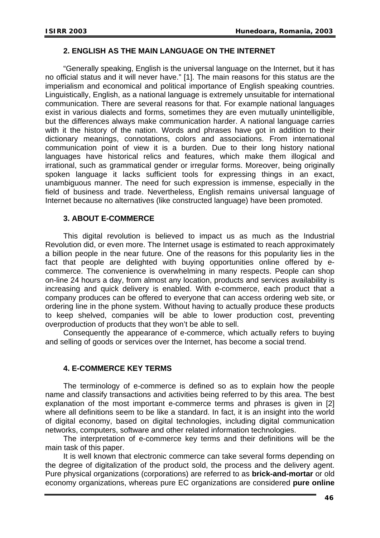#### **2. ENGLISH AS THE MAIN LANGUAGE ON THE INTERNET**

"Generally speaking, English is the universal language on the Internet, but it has no official status and it will never have." [1]. The main reasons for this status are the imperialism and economical and political importance of English speaking countries. Linguistically, English, as a national language is extremely unsuitable for international communication. There are several reasons for that. For example national languages exist in various dialects and forms, sometimes they are even mutually unintelligible, but the differences always make communication harder. A national language carries with it the history of the nation. Words and phrases have got in addition to their dictionary meanings, connotations, colors and associations. From international communication point of view it is a burden. Due to their long history national languages have historical relics and features, which make them illogical and irrational, such as grammatical gender or irregular forms. Moreover, being originally spoken language it lacks sufficient tools for expressing things in an exact, unambiguous manner. The need for such expression is immense, especially in the field of business and trade. Nevertheless, English remains universal language of Internet because no alternatives (like constructed language) have been promoted.

#### **3. ABOUT E-COMMERCE**

This digital revolution is believed to impact us as much as the Industrial Revolution did, or even more. The Internet usage is estimated to reach approximately a billion people in the near future. One of the reasons for this popularity lies in the fact that people are delighted with buying opportunities online offered by ecommerce. The convenience is overwhelming in many respects. People can shop on-line 24 hours a day, from almost any location, products and services availability is increasing and quick delivery is enabled. With e-commerce, each product that a company produces can be offered to everyone that can access ordering web site, or ordering line in the phone system. Without having to actually produce these products to keep shelved, companies will be able to lower production cost, preventing overproduction of products that they won't be able to sell.

Consequently the appearance of e-commerce, which actually refers to buying and selling of goods or services over the Internet, has become a social trend.

#### **4. E-COMMERCE KEY TERMS**

The terminology of e-commerce is defined so as to explain how the people name and classify transactions and activities being referred to by this area. The best explanation of the most important e-commerce terms and phrases is given in [2] where all definitions seem to be like a standard. In fact, it is an insight into the world of digital economy, based on digital technologies, including digital communication networks, computers, software and other related information technologies.

The interpretation of e-commerce key terms and their definitions will be the main task of this paper.

It is well known that electronic commerce can take several forms depending on the degree of digitalization of the product sold, the process and the delivery agent. Pure physical organizations (corporations) are referred to as **brick-and-mortar** or old economy organizations, whereas pure EC organizations are considered **pure online**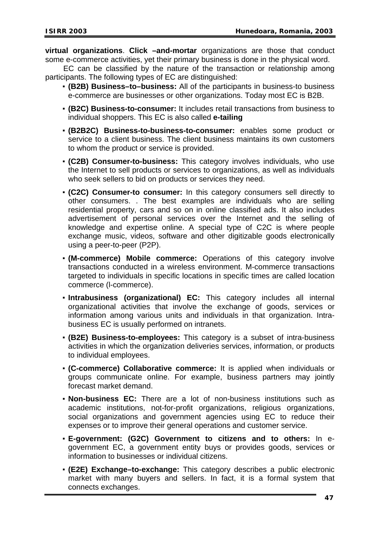**virtual organizations**. **Click –and-mortar** organizations are those that conduct some e-commerce activities, yet their primary business is done in the physical word.

EC can be classified by the nature of the transaction or relationship among participants. The following types of EC are distinguished:

- **(B2B) Business–to–business:** All of the participants in business-to business e-commerce are businesses or other organizations. Today most EC is B2B.
- **(B2C) Business-to-consumer:** It includes retail transactions from business to individual shoppers. This EC is also called **e-tailing**
- **(B2B2C) Business-to-business-to-consumer:** enables some product or service to a client business. The client business maintains its own customers to whom the product or service is provided.
- **(C2B) Consumer-to-business:** This category involves individuals, who use the Internet to sell products or services to organizations, as well as individuals who seek sellers to bid on products or services they need.
- **(C2C) Consumer-to consumer:** In this category consumers sell directly to other consumers. . The best examples are individuals who are selling residential property, cars and so on in online classified ads. It also includes advertisement of personal services over the Internet and the selling of knowledge and expertise online. A special type of C2C is where people exchange music, videos, software and other digitizable goods electronically using a peer-to-peer (P2P).
- **(M-commerce) Mobile commerce:** Operations of this category involve transactions conducted in a wireless environment. M-commerce transactions targeted to individuals in specific locations in specific times are called location commerce (l-commerce).
- **Intrabusiness (organizational) EC:** This category includes all internal organizational activities that involve the exchange of goods, services or information among various units and individuals in that organization. Intrabusiness EC is usually performed on intranets.
- **(B2E) Business-to-employees:** This category is a subset of intra-business activities in which the organization deliveries services, information, or products to individual employees.
- **(C-commerce) Collaborative commerce:** It is applied when individuals or groups communicate online. For example, business partners may jointly forecast market demand.
- **Non-business EC:** There are a lot of non-business institutions such as academic institutions, not-for-profit organizations, religious organizations, social organizations and government agencies using EC to reduce their expenses or to improve their general operations and customer service.
- **E-government: (G2C) Government to citizens and to others:** In egovernment EC, a government entity buys or provides goods, services or information to businesses or individual citizens.
- **(E2E) Exchange–to-exchange:** This category describes a public electronic market with many buyers and sellers. In fact, it is a formal system that connects exchanges.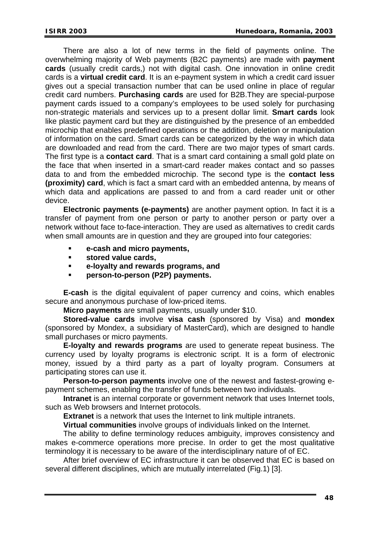There are also a lot of new terms in the field of payments online. The overwhelming majority of Web payments (B2C payments) are made with **payment cards** (usually credit cards,) not with digital cash. One innovation in online credit cards is a **virtual credit card**. It is an e-payment system in which a credit card issuer gives out a special transaction number that can be used online in place of regular credit card numbers. **Purchasing cards** are used for B2B.They are special-purpose payment cards issued to a company's employees to be used solely for purchasing non-strategic materials and services up to a present dollar limit. **Smart cards** look like plastic payment card but they are distinguished by the presence of an embedded microchip that enables predefined operations or the addition, deletion or manipulation of information on the card. Smart cards can be categorized by the way in which data are downloaded and read from the card. There are two major types of smart cards. The first type is a **contact card**. That is a smart card containing a small gold plate on the face that when inserted in a smart-card reader makes contact and so passes data to and from the embedded microchip. The second type is the **contact less (proximity) card**, which is fact a smart card with an embedded antenna, by means of which data and applications are passed to and from a card reader unit or other device.

**Electronic payments (e-payments)** are another payment option. In fact it is a transfer of payment from one person or party to another person or party over a network without face to-face-interaction. They are used as alternatives to credit cards when small amounts are in question and they are grouped into four categories:

- **e-cash and micro payments,**
- **stored value cards,**
- **e-loyalty and rewards programs, and**
- **person-to-person (P2P) payments.**

**E-cash** is the digital equivalent of paper currency and coins, which enables secure and anonymous purchase of low-priced items.

**Micro payments** are small payments, usually under \$10.

**Stored-value cards** involve **visa cash** (sponsored by Visa) and **mondex**  (sponsored by Mondex, a subsidiary of MasterCard), which are designed to handle small purchases or micro payments.

**E-loyalty and rewards programs** are used to generate repeat business. The currency used by loyalty programs is electronic script. It is a form of electronic money, issued by a third party as a part of loyalty program. Consumers at participating stores can use it.

**Person-to-person payments** involve one of the newest and fastest-growing epayment schemes, enabling the transfer of funds between two individuals.

**Intranet** is an internal corporate or government network that uses Internet tools, such as Web browsers and Internet protocols.

**Extranet** is a network that uses the Internet to link multiple intranets.

**Virtual communities** involve groups of individuals linked on the Internet.

The ability to define terminology reduces ambiguity, improves consistency and makes e-commerce operations more precise. In order to get the most qualitative terminology it is necessary to be aware of the interdisciplinary nature of of EC.

After brief overview of EC infrastructure it can be observed that EC is based on several different disciplines, which are mutually interrelated (Fig.1) [3].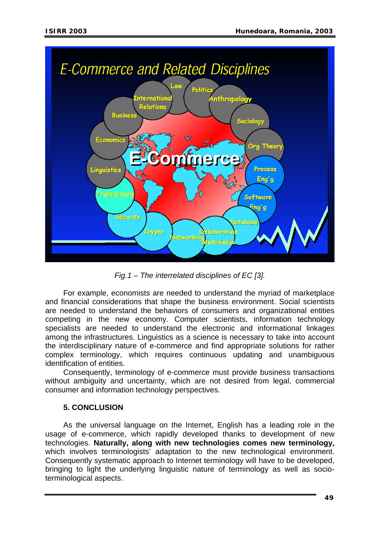

*Fig.1 – The interrelated disciplines of EC [3].* 

For example, economists are needed to understand the myriad of marketplace and financial considerations that shape the business environment. Social scientists are needed to understand the behaviors of consumers and organizational entities competing in the new economy. Computer scientists, information technology specialists are needed to understand the electronic and informational linkages among the infrastructures. Linguistics as a science is necessary to take into account the interdisciplinary nature of e-commerce and find appropriate solutions for rather complex terminology, which requires continuous updating and unambiguous identification of entities.

Consequently, terminology of e-commerce must provide business transactions without ambiguity and uncertainty, which are not desired from legal, commercial consumer and information technology perspectives.

## **5. CONCLUSION**

As the universal language on the Internet, English has a leading role in the usage of e-commerce, which rapidly developed thanks to development of new technologies. **Naturally, along with new technologies comes new terminology,** which involves terminologists<sup>7</sup> adaptation to the new technological environment. Consequently systematic approach to Internet terminology will have to be developed, bringing to light the underlying linguistic nature of terminology as well as socioterminological aspects.